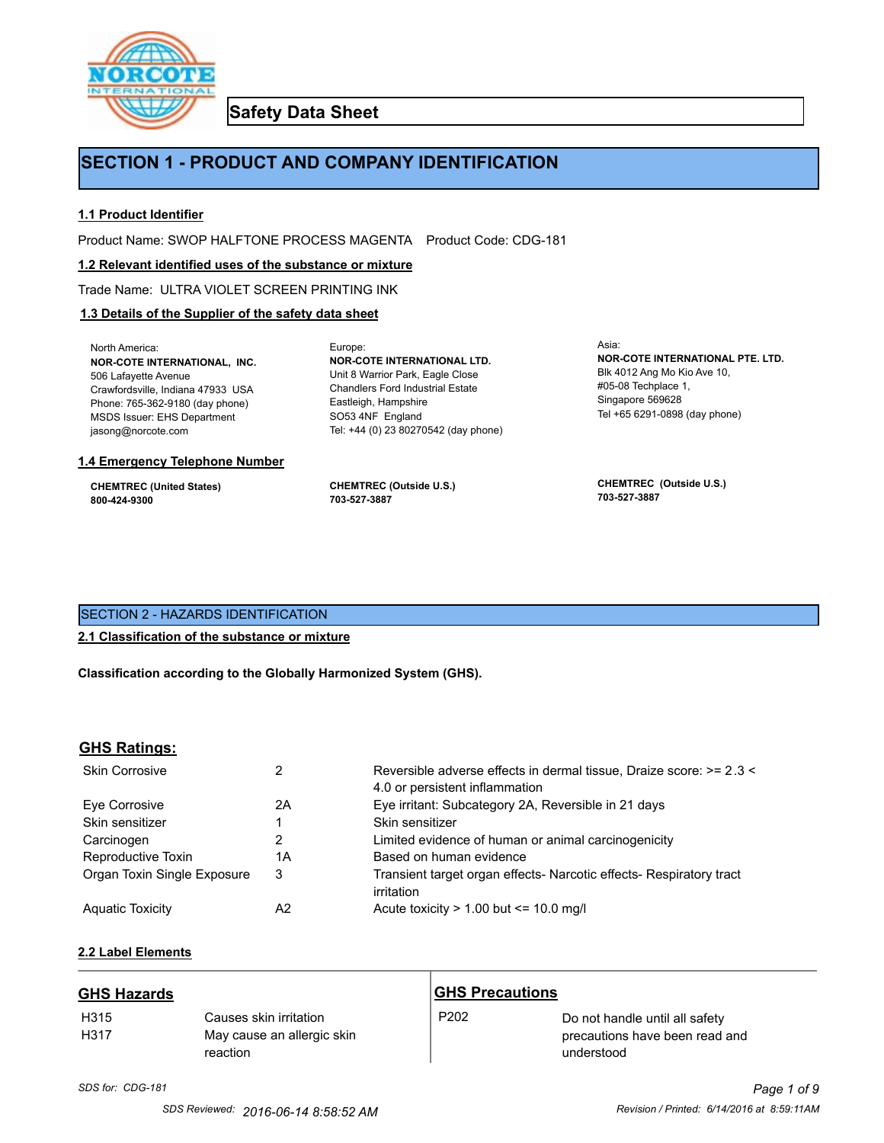

**Safety Data Sheet**

# **SECTION 1 - PRODUCT AND COMPANY IDENTIFICATION**

## **1.1 Product Identifier**

Product Name: SWOP HALFTONE PROCESS MAGENTA Product Code: CDG-181

Europe:

#### **1.2 Relevant identified uses of the substance or mixture**

Trade Name: ULTRA VIOLET SCREEN PRINTING INK

## **1.3 Details of the Supplier of the safety data sheet**

North America: **NOR-COTE INTERNATIONAL, INC.** 506 Lafayette Avenue Crawfordsville, Indiana 47933 USA Phone: 765-362-9180 (day phone) MSDS Issuer: EHS Department jasong@norcote.com

#### **1.4 Emergency Telephone Number**

**CHEMTREC (United States) 800-424-9300**

**CHEMTREC (Outside U.S.) 703-527-3887**

Eastleigh, Hampshire SO53 4NF England

**NOR-COTE INTERNATIONAL LTD.** Unit 8 Warrior Park, Eagle Close Chandlers Ford Industrial Estate

Tel: +44 (0) 23 80270542 (day phone)

Asia: **NOR-COTE INTERNATIONAL PTE. LTD.** Blk 4012 Ang Mo Kio Ave 10, #05-08 Techplace 1, Singapore 569628 Tel +65 6291-0898 (day phone)

**CHEMTREC (Outside U.S.) 703-527-3887**

# SECTION 2 - HAZARDS IDENTIFICATION

#### **2.1 Classification of the substance or mixture**

**Classification according to the Globally Harmonized System (GHS).**

#### **GHS Ratings:**

| <b>Skin Corrosive</b>       |    | Reversible adverse effects in dermal tissue, Draize score: >= 2.3 < |
|-----------------------------|----|---------------------------------------------------------------------|
|                             |    | 4.0 or persistent inflammation                                      |
| Eye Corrosive               | 2Α | Eye irritant: Subcategory 2A, Reversible in 21 days                 |
| Skin sensitizer             |    | Skin sensitizer                                                     |
| Carcinogen                  |    | Limited evidence of human or animal carcinogenicity                 |
| Reproductive Toxin          | 1Α | Based on human evidence                                             |
| Organ Toxin Single Exposure | 3  | Transient target organ effects- Narcotic effects- Respiratory tract |
|                             |    | irritation                                                          |
| <b>Aguatic Toxicity</b>     | A2 | Acute toxicity $> 1.00$ but $\leq 10.0$ mg/l                        |

# **2.2 Label Elements**

| <b>GHS Hazards</b>       |                                                                  | <b>GHS Precautions</b> |                                                                                |
|--------------------------|------------------------------------------------------------------|------------------------|--------------------------------------------------------------------------------|
| H <sub>315</sub><br>H317 | Causes skin irritation<br>May cause an allergic skin<br>reaction | P <sub>202</sub>       | Do not handle until all safety<br>precautions have been read and<br>understood |

# *SDS for: CDG-181 Page 1 of 9*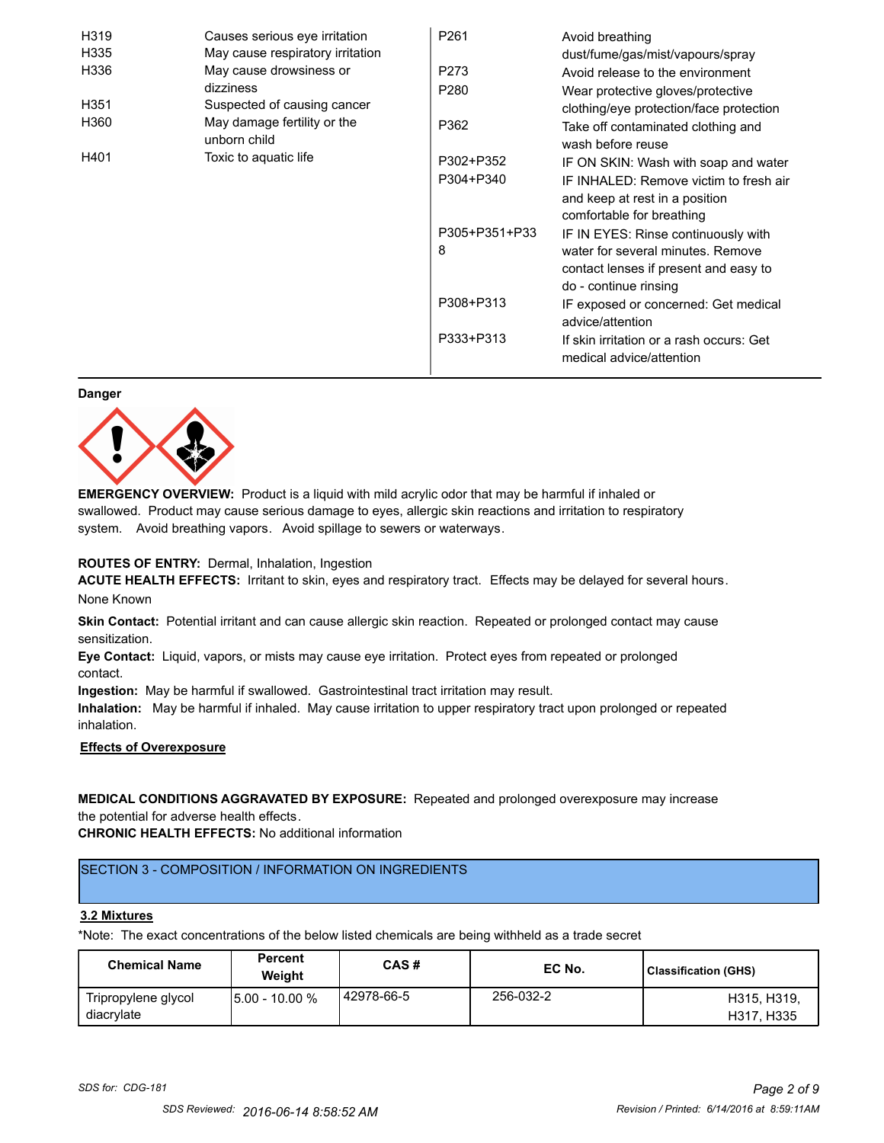| H319 | Causes serious eye irritation               | P <sub>261</sub> | Avoid breathing                                                      |
|------|---------------------------------------------|------------------|----------------------------------------------------------------------|
| H335 | May cause respiratory irritation            |                  | dust/fume/gas/mist/vapours/spray                                     |
| H336 | May cause drowsiness or                     | P273             | Avoid release to the environment                                     |
|      | dizziness                                   | P <sub>280</sub> | Wear protective gloves/protective                                    |
| H351 | Suspected of causing cancer                 |                  | clothing/eye protection/face protection                              |
| H360 | May damage fertility or the<br>unborn child | P362             | Take off contaminated clothing and<br>wash before reuse              |
| H401 | Toxic to aquatic life                       | P302+P352        | IF ON SKIN: Wash with soap and water                                 |
|      |                                             | P304+P340        | IF INHALED: Remove victim to fresh air                               |
|      |                                             |                  | and keep at rest in a position                                       |
|      |                                             |                  | comfortable for breathing                                            |
|      |                                             | P305+P351+P33    | IF IN EYES: Rinse continuously with                                  |
|      |                                             | 8                | water for several minutes. Remove                                    |
|      |                                             |                  | contact lenses if present and easy to                                |
|      |                                             |                  | do - continue rinsing                                                |
|      |                                             | P308+P313        | IF exposed or concerned: Get medical                                 |
|      |                                             |                  | advice/attention                                                     |
|      |                                             | P333+P313        | If skin irritation or a rash occurs: Get<br>medical advice/attention |

#### **Danger**



**EMERGENCY OVERVIEW:** Product is a liquid with mild acrylic odor that may be harmful if inhaled or swallowed. Product may cause serious damage to eyes, allergic skin reactions and irritation to respiratory system. Avoid breathing vapors. Avoid spillage to sewers or waterways.

#### **ROUTES OF ENTRY:** Dermal, Inhalation, Ingestion

**ACUTE HEALTH EFFECTS:** Irritant to skin, eyes and respiratory tract. Effects may be delayed for several hours. None Known

**Skin Contact:** Potential irritant and can cause allergic skin reaction. Repeated or prolonged contact may cause sensitization.

**Eye Contact:** Liquid, vapors, or mists may cause eye irritation. Protect eyes from repeated or prolonged contact.

**Ingestion:** May be harmful if swallowed. Gastrointestinal tract irritation may result.

**Inhalation:** May be harmful if inhaled. May cause irritation to upper respiratory tract upon prolonged or repeated inhalation.

# **Effects of Overexposure**

# **MEDICAL CONDITIONS AGGRAVATED BY EXPOSURE:** Repeated and prolonged overexposure may increase the potential for adverse health effects.

**CHRONIC HEALTH EFFECTS:** No additional information

# SECTION 3 - COMPOSITION / INFORMATION ON INGREDIENTS

#### **3.2 Mixtures**

\*Note: The exact concentrations of the below listed chemicals are being withheld as a trade secret

| <b>Chemical Name</b>              | <b>Percent</b><br>Weiaht | CAS#         | EC No.    | Classification (GHS)      |
|-----------------------------------|--------------------------|--------------|-----------|---------------------------|
| Tripropylene glycol<br>diacrylate | 15.00 - 10.00 %          | l 42978-66-5 | 256-032-2 | H315, H319,<br>H317, H335 |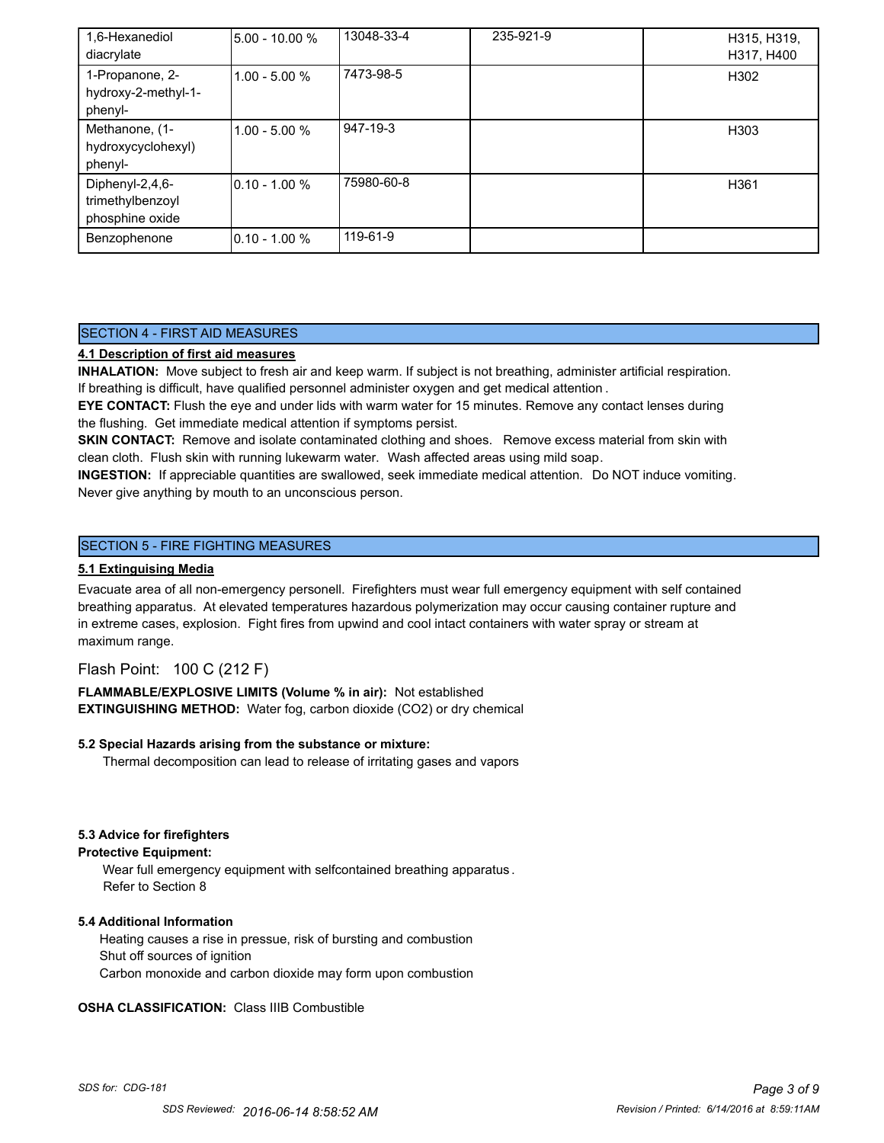| 1,6-Hexanediol      | 5.00 - 10.00 %   | 13048-33-4 | 235-921-9 | H315, H319,      |
|---------------------|------------------|------------|-----------|------------------|
| diacrylate          |                  |            |           | H317, H400       |
| 1-Propanone, 2-     | 1.00 - 5.00 %    | 7473-98-5  |           | H302             |
| hydroxy-2-methyl-1- |                  |            |           |                  |
| phenyl-             |                  |            |           |                  |
| Methanone, (1-      | 1.00 - 5.00 %    | 947-19-3   |           | H <sub>303</sub> |
| hydroxycyclohexyl)  |                  |            |           |                  |
| phenyl-             |                  |            |           |                  |
| Diphenyl-2,4,6-     | $10.10 - 1.00 %$ | 75980-60-8 |           | H361             |
| trimethylbenzoyl    |                  |            |           |                  |
| phosphine oxide     |                  |            |           |                  |
| Benzophenone        | $10.10 - 1.00 %$ | 119-61-9   |           |                  |

# SECTION 4 - FIRST AID MEASURES

# **4.1 Description of first aid measures**

**INHALATION:** Move subject to fresh air and keep warm. If subject is not breathing, administer artificial respiration. If breathing is difficult, have qualified personnel administer oxygen and get medical attention .

**EYE CONTACT:** Flush the eye and under lids with warm water for 15 minutes. Remove any contact lenses during the flushing. Get immediate medical attention if symptoms persist.

**SKIN CONTACT:** Remove and isolate contaminated clothing and shoes. Remove excess material from skin with clean cloth. Flush skin with running lukewarm water. Wash affected areas using mild soap.

**INGESTION:** If appreciable quantities are swallowed, seek immediate medical attention. Do NOT induce vomiting. Never give anything by mouth to an unconscious person.

# SECTION 5 - FIRE FIGHTING MEASURES

#### **5.1 Extinguising Media**

Evacuate area of all non-emergency personell. Firefighters must wear full emergency equipment with self contained breathing apparatus. At elevated temperatures hazardous polymerization may occur causing container rupture and in extreme cases, explosion. Fight fires from upwind and cool intact containers with water spray or stream at maximum range.

# Flash Point: 100 C (212 F)

**FLAMMABLE/EXPLOSIVE LIMITS (Volume % in air):** Not established **EXTINGUISHING METHOD:** Water fog, carbon dioxide (CO2) or dry chemical

#### **5.2 Special Hazards arising from the substance or mixture:**

Thermal decomposition can lead to release of irritating gases and vapors

#### **5.3 Advice for firefighters**

#### **Protective Equipment:**

Wear full emergency equipment with selfcontained breathing apparatus . Refer to Section 8

#### **5.4 Additional Information**

 Heating causes a rise in pressue, risk of bursting and combustion Shut off sources of ignition Carbon monoxide and carbon dioxide may form upon combustion

#### **OSHA CLASSIFICATION:** Class IIIB Combustible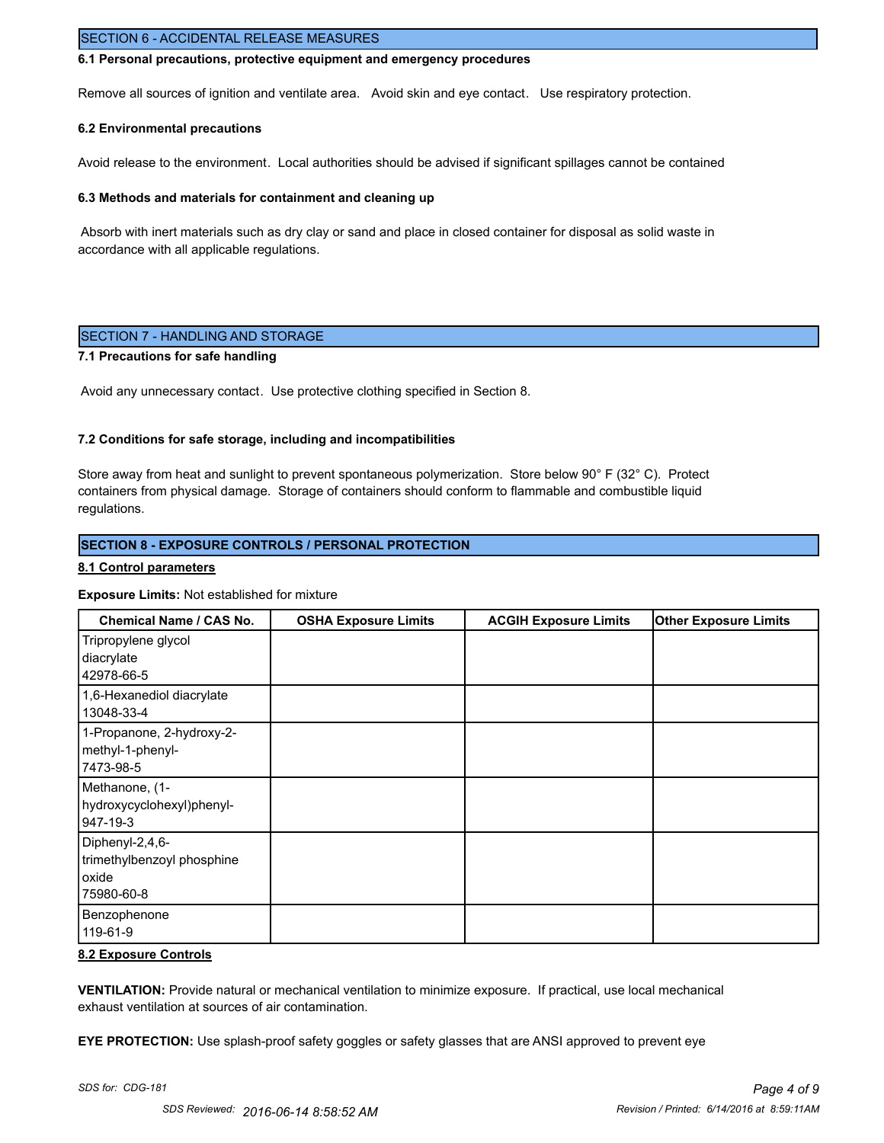## SECTION 6 - ACCIDENTAL RELEASE MEASURES

#### **6.1 Personal precautions, protective equipment and emergency procedures**

Remove all sources of ignition and ventilate area. Avoid skin and eye contact. Use respiratory protection.

#### **6.2 Environmental precautions**

Avoid release to the environment. Local authorities should be advised if significant spillages cannot be contained

#### **6.3 Methods and materials for containment and cleaning up**

 Absorb with inert materials such as dry clay or sand and place in closed container for disposal as solid waste in accordance with all applicable regulations.

### SECTION 7 - HANDLING AND STORAGE

### **7.1 Precautions for safe handling**

Avoid any unnecessary contact. Use protective clothing specified in Section 8.

#### **7.2 Conditions for safe storage, including and incompatibilities**

Store away from heat and sunlight to prevent spontaneous polymerization. Store below 90° F (32° C). Protect containers from physical damage. Storage of containers should conform to flammable and combustible liquid regulations.

#### **SECTION 8 - EXPOSURE CONTROLS / PERSONAL PROTECTION**

#### **8.1 Control parameters**

#### **Exposure Limits:** Not established for mixture

| Chemical Name / CAS No.                                              | <b>OSHA Exposure Limits</b> | <b>ACGIH Exposure Limits</b> | <b>Other Exposure Limits</b> |
|----------------------------------------------------------------------|-----------------------------|------------------------------|------------------------------|
| Tripropylene glycol<br>diacrylate<br>42978-66-5                      |                             |                              |                              |
| 1,6-Hexanediol diacrylate<br>13048-33-4                              |                             |                              |                              |
| 1-Propanone, 2-hydroxy-2-<br>methyl-1-phenyl-<br>7473-98-5           |                             |                              |                              |
| Methanone, (1-<br>hydroxycyclohexyl)phenyl-<br>947-19-3              |                             |                              |                              |
| Diphenyl-2,4,6-<br>trimethylbenzoyl phosphine<br>oxide<br>75980-60-8 |                             |                              |                              |
| Benzophenone<br>119-61-9                                             |                             |                              |                              |

#### **8.2 Exposure Controls**

**VENTILATION:** Provide natural or mechanical ventilation to minimize exposure. If practical, use local mechanical exhaust ventilation at sources of air contamination.

**EYE PROTECTION:** Use splash-proof safety goggles or safety glasses that are ANSI approved to prevent eye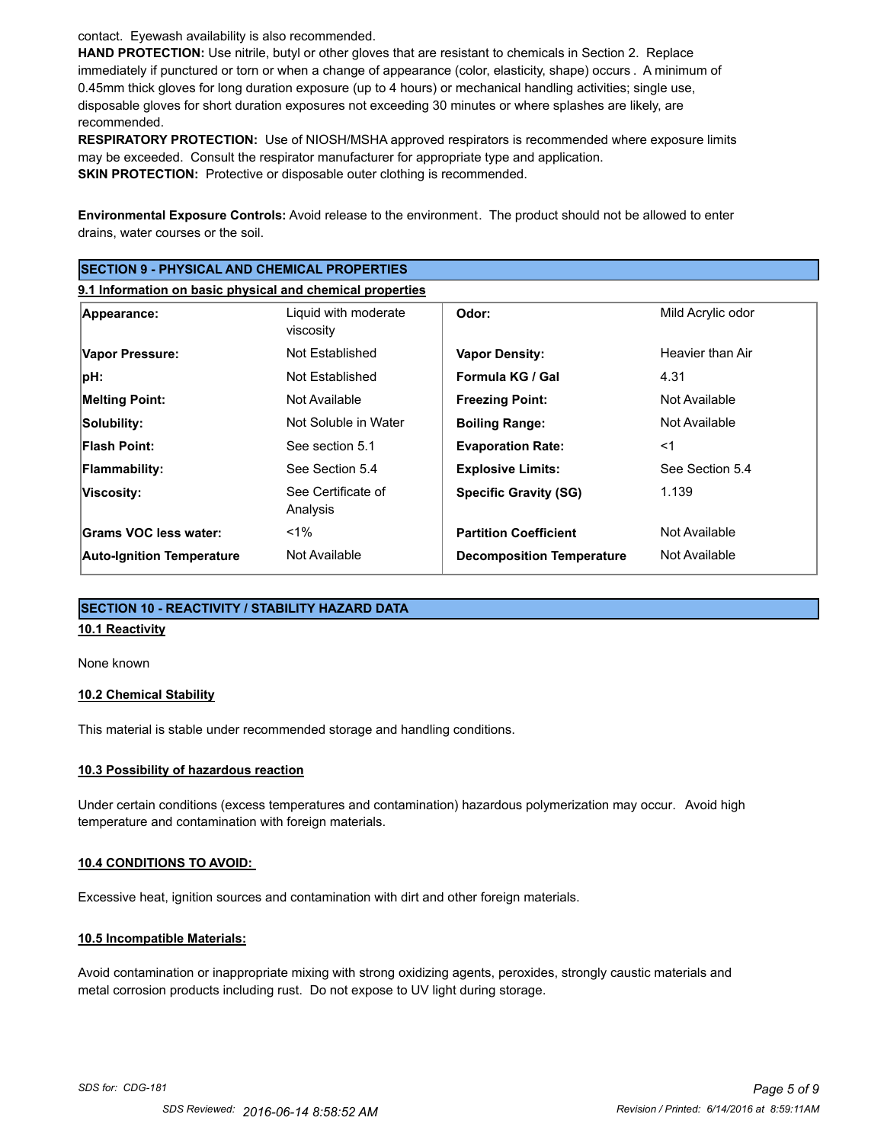contact. Eyewash availability is also recommended.

**HAND PROTECTION:** Use nitrile, butyl or other gloves that are resistant to chemicals in Section 2. Replace immediately if punctured or torn or when a change of appearance (color, elasticity, shape) occurs . A minimum of 0.45mm thick gloves for long duration exposure (up to 4 hours) or mechanical handling activities; single use, disposable gloves for short duration exposures not exceeding 30 minutes or where splashes are likely, are recommended.

**RESPIRATORY PROTECTION:** Use of NIOSH/MSHA approved respirators is recommended where exposure limits may be exceeded. Consult the respirator manufacturer for appropriate type and application. **SKIN PROTECTION:** Protective or disposable outer clothing is recommended.

**Environmental Exposure Controls:** Avoid release to the environment. The product should not be allowed to enter drains, water courses or the soil.

| <b>SECTION 9 - PHYSICAL AND CHEMICAL PROPERTIES</b><br>9.1 Information on basic physical and chemical properties |                                |                                  |                  |
|------------------------------------------------------------------------------------------------------------------|--------------------------------|----------------------------------|------------------|
|                                                                                                                  |                                |                                  |                  |
| Vapor Pressure:                                                                                                  | Not Established                | <b>Vapor Density:</b>            | Heavier than Air |
| pH:                                                                                                              | Not Established                | Formula KG / Gal                 | 4.31             |
| <b>Melting Point:</b>                                                                                            | Not Available                  | <b>Freezing Point:</b>           | Not Available    |
| Solubility:                                                                                                      | Not Soluble in Water           | <b>Boiling Range:</b>            | Not Available    |
| <b>Flash Point:</b>                                                                                              | See section 5.1                | <b>Evaporation Rate:</b>         | $<$ 1            |
| Flammability:                                                                                                    | See Section 5.4                | <b>Explosive Limits:</b>         | See Section 5.4  |
| Viscosity:                                                                                                       | See Certificate of<br>Analysis | <b>Specific Gravity (SG)</b>     | 1.139            |
| Grams VOC less water:                                                                                            | $1\%$                          | <b>Partition Coefficient</b>     | Not Available    |
| <b>Auto-Ignition Temperature</b>                                                                                 | Not Available                  | <b>Decomposition Temperature</b> | Not Available    |

# **SECTION 10 - REACTIVITY / STABILITY HAZARD DATA**

# **10.1 Reactivity**

None known

#### **10.2 Chemical Stability**

This material is stable under recommended storage and handling conditions.

#### **10.3 Possibility of hazardous reaction**

Under certain conditions (excess temperatures and contamination) hazardous polymerization may occur. Avoid high temperature and contamination with foreign materials.

#### **10.4 CONDITIONS TO AVOID:**

Excessive heat, ignition sources and contamination with dirt and other foreign materials.

#### **10.5 Incompatible Materials:**

Avoid contamination or inappropriate mixing with strong oxidizing agents, peroxides, strongly caustic materials and metal corrosion products including rust. Do not expose to UV light during storage.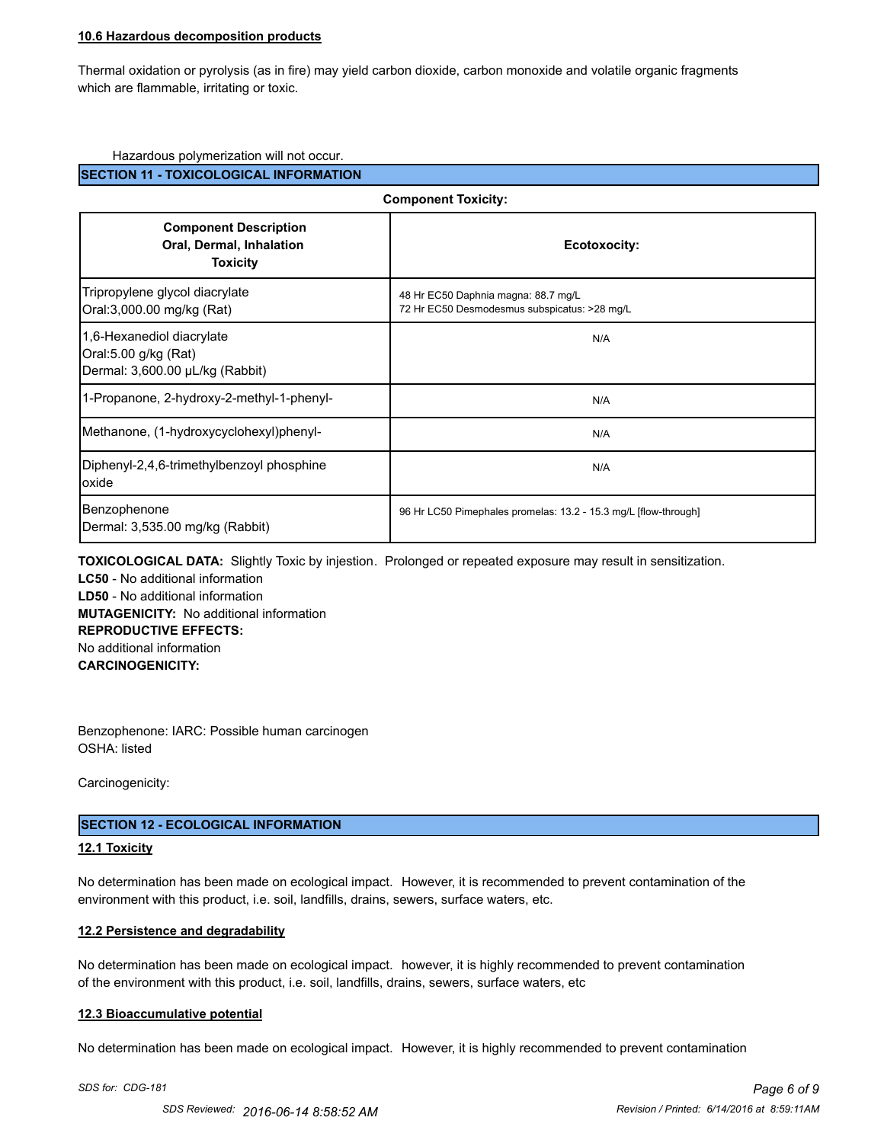#### **10.6 Hazardous decomposition products**

Thermal oxidation or pyrolysis (as in fire) may yield carbon dioxide, carbon monoxide and volatile organic fragments which are flammable, irritating or toxic.

#### Hazardous polymerization will not occur.

#### **SECTION 11 - TOXICOLOGICAL INFORMATION**

| <b>Component Toxicity:</b>                                                           |                                                                                     |  |
|--------------------------------------------------------------------------------------|-------------------------------------------------------------------------------------|--|
| <b>Component Description</b><br>Oral, Dermal, Inhalation<br><b>Toxicity</b>          | Ecotoxocity:                                                                        |  |
| Tripropylene glycol diacrylate<br>Oral:3,000.00 mg/kg (Rat)                          | 48 Hr EC50 Daphnia magna: 88.7 mg/L<br>72 Hr EC50 Desmodesmus subspicatus: >28 mg/L |  |
| 1,6-Hexanediol diacrylate<br>Oral:5.00 g/kg (Rat)<br>Dermal: 3,600.00 µL/kg (Rabbit) | N/A                                                                                 |  |
| 1-Propanone, 2-hydroxy-2-methyl-1-phenyl-                                            | N/A                                                                                 |  |
| Methanone, (1-hydroxycyclohexyl)phenyl-                                              | N/A                                                                                 |  |
| Diphenyl-2,4,6-trimethylbenzoyl phosphine<br>loxide                                  | N/A                                                                                 |  |
| Benzophenone<br>Dermal: 3,535.00 mg/kg (Rabbit)                                      | 96 Hr LC50 Pimephales promelas: 13.2 - 15.3 mg/L [flow-through]                     |  |

**TOXICOLOGICAL DATA:** Slightly Toxic by injestion. Prolonged or repeated exposure may result in sensitization. **LC50** - No additional information

**LD50** - No additional information **MUTAGENICITY:** No additional information **REPRODUCTIVE EFFECTS:** No additional information **CARCINOGENICITY:**

Benzophenone: IARC: Possible human carcinogen OSHA: listed

Carcinogenicity:

#### **SECTION 12 - ECOLOGICAL INFORMATION**

#### **12.1 Toxicity**

No determination has been made on ecological impact. However, it is recommended to prevent contamination of the environment with this product, i.e. soil, landfills, drains, sewers, surface waters, etc.

#### **12.2 Persistence and degradability**

No determination has been made on ecological impact. however, it is highly recommended to prevent contamination of the environment with this product, i.e. soil, landfills, drains, sewers, surface waters, etc

#### **12.3 Bioaccumulative potential**

No determination has been made on ecological impact. However, it is highly recommended to prevent contamination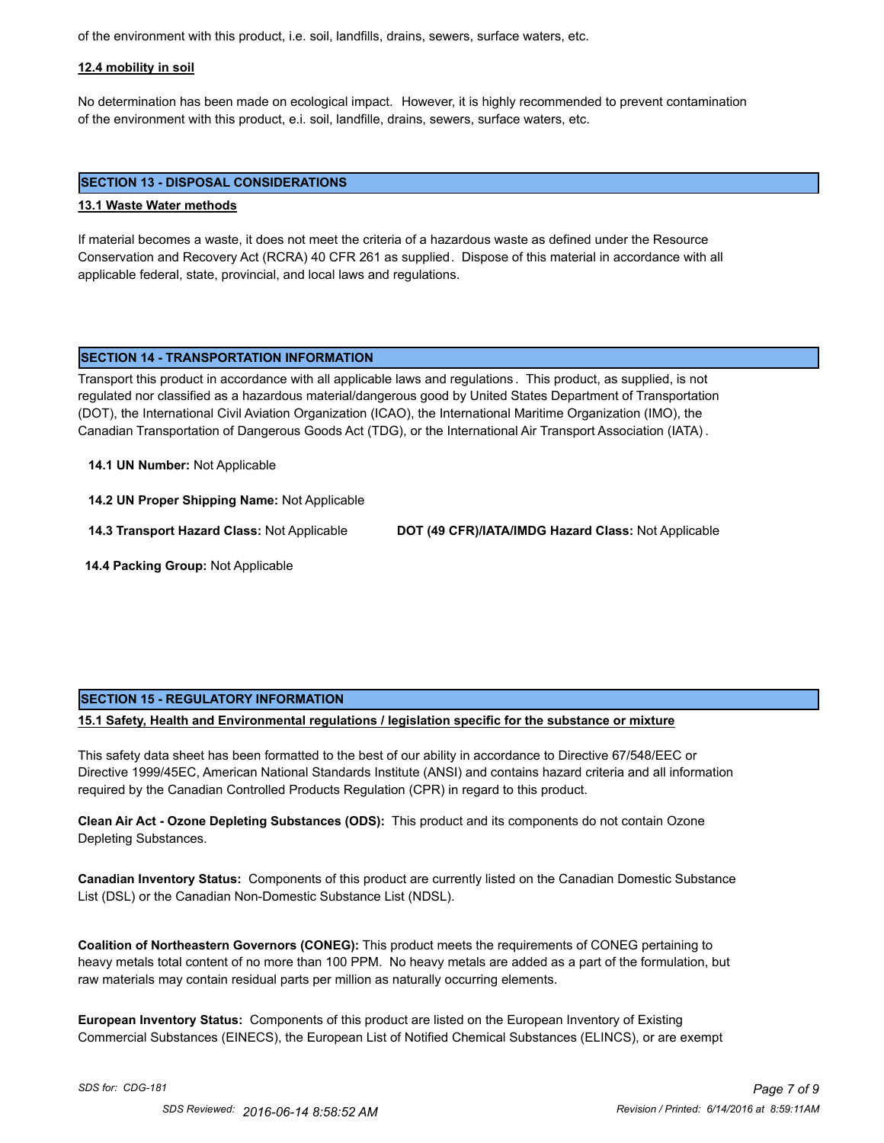of the environment with this product, i.e. soil, landfills, drains, sewers, surface waters, etc.

#### **12.4 mobility in soil**

No determination has been made on ecological impact. However, it is highly recommended to prevent contamination of the environment with this product, e.i. soil, landfille, drains, sewers, surface waters, etc.

#### **SECTION 13 - DISPOSAL CONSIDERATIONS**

#### **13.1 Waste Water methods**

If material becomes a waste, it does not meet the criteria of a hazardous waste as defined under the Resource Conservation and Recovery Act (RCRA) 40 CFR 261 as supplied. Dispose of this material in accordance with all applicable federal, state, provincial, and local laws and regulations.

### **SECTION 14 - TRANSPORTATION INFORMATION**

Transport this product in accordance with all applicable laws and regulations . This product, as supplied, is not regulated nor classified as a hazardous material/dangerous good by United States Department of Transportation (DOT), the International Civil Aviation Organization (ICAO), the International Maritime Organization (IMO), the Canadian Transportation of Dangerous Goods Act (TDG), or the International Air Transport Association (IATA) .

#### **14.1 UN Number:** Not Applicable

**14.2 UN Proper Shipping Name:** Not Applicable

**14.3 Transport Hazard Class:** Not Applicable **DOT (49 CFR)/IATA/IMDG Hazard Class:** Not Applicable

 **14.4 Packing Group:** Not Applicable

#### **SECTION 15 - REGULATORY INFORMATION**

**15.1 Safety, Health and Environmental regulations / legislation specific for the substance or mixture**

This safety data sheet has been formatted to the best of our ability in accordance to Directive 67/548/EEC or Directive 1999/45EC, American National Standards Institute (ANSI) and contains hazard criteria and all information required by the Canadian Controlled Products Regulation (CPR) in regard to this product.

**Clean Air Act - Ozone Depleting Substances (ODS):** This product and its components do not contain Ozone Depleting Substances.

**Canadian Inventory Status:** Components of this product are currently listed on the Canadian Domestic Substance List (DSL) or the Canadian Non-Domestic Substance List (NDSL).

**Coalition of Northeastern Governors (CONEG):** This product meets the requirements of CONEG pertaining to heavy metals total content of no more than 100 PPM. No heavy metals are added as a part of the formulation, but raw materials may contain residual parts per million as naturally occurring elements.

**European Inventory Status:** Components of this product are listed on the European Inventory of Existing Commercial Substances (EINECS), the European List of Notified Chemical Substances (ELINCS), or are exempt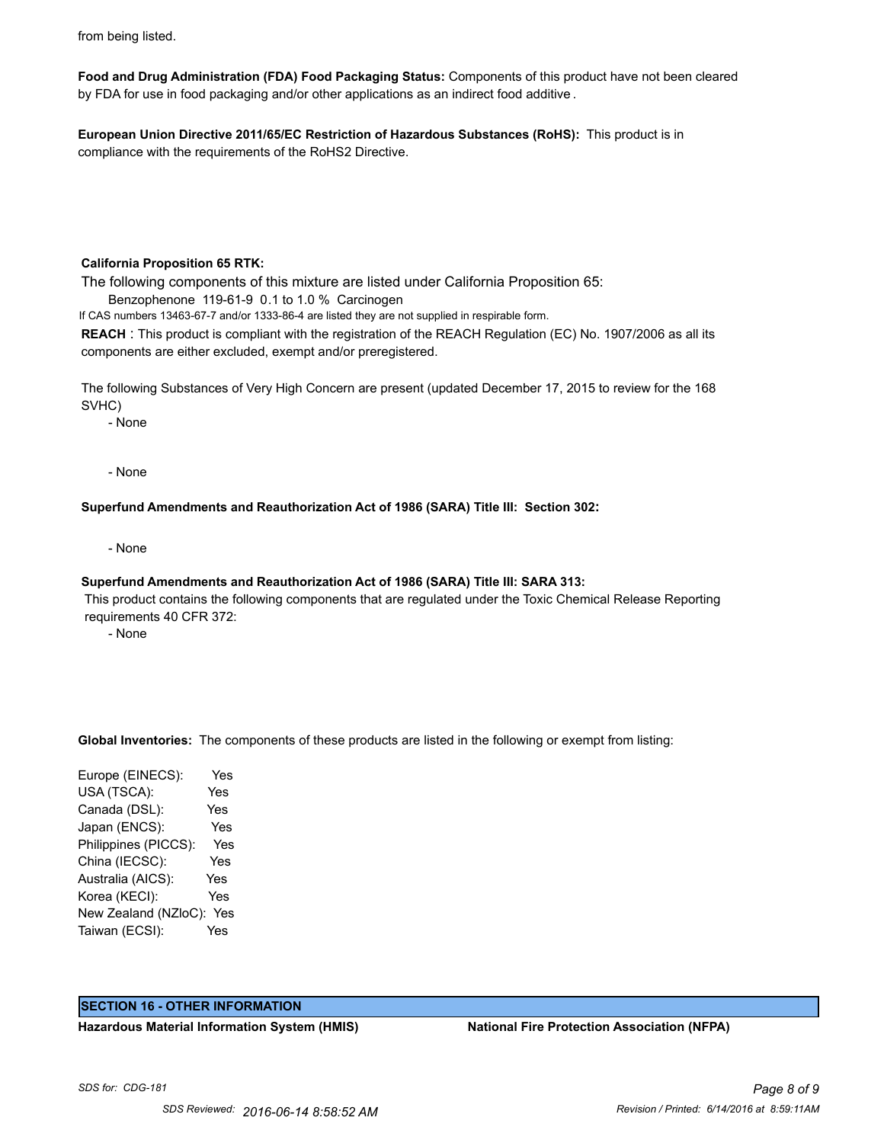from being listed.

**Food and Drug Administration (FDA) Food Packaging Status:** Components of this product have not been cleared by FDA for use in food packaging and/or other applications as an indirect food additive .

**European Union Directive 2011/65/EC Restriction of Hazardous Substances (RoHS):** This product is in compliance with the requirements of the RoHS2 Directive.

#### **California Proposition 65 RTK:**

The following components of this mixture are listed under California Proposition 65:

Benzophenone 119-61-9 0.1 to 1.0 % Carcinogen

If CAS numbers 13463-67-7 and/or 1333-86-4 are listed they are not supplied in respirable form.

**REACH** : This product is compliant with the registration of the REACH Regulation (EC) No. 1907/2006 as all its components are either excluded, exempt and/or preregistered.

The following Substances of Very High Concern are present (updated December 17, 2015 to review for the 168 SVHC)

- None

- None

**Superfund Amendments and Reauthorization Act of 1986 (SARA) Title III: Section 302:**

- None

#### **Superfund Amendments and Reauthorization Act of 1986 (SARA) Title III: SARA 313:**

 This product contains the following components that are regulated under the Toxic Chemical Release Reporting requirements 40 CFR 372:

- None

**Global Inventories:** The components of these products are listed in the following or exempt from listing:

Europe (EINECS): Yes USA (TSCA): Yes Canada (DSL): Yes Japan (ENCS): Yes Philippines (PICCS): Yes China (IECSC): Yes Australia (AICS): Yes Korea (KECI): Yes New Zealand (NZloC): Yes Taiwan (ECSI): Yes

#### **SECTION 16 - OTHER INFORMATION**

**Hazardous Material Information System (HMIS) National Fire Protection Association (NFPA)**